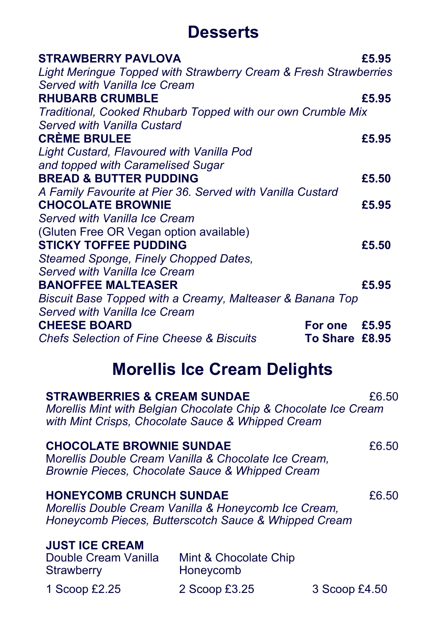## **Desserts**

| <b>STRAWBERRY PAVLOVA</b>                                              | £5.95 |
|------------------------------------------------------------------------|-------|
| Light Meringue Topped with Strawberry Cream & Fresh Strawberries       |       |
| Served with Vanilla Ice Cream                                          |       |
| <b>RHUBARB CRUMBLE</b>                                                 | £5.95 |
| Traditional, Cooked Rhubarb Topped with our own Crumble Mix            |       |
| Served with Vanilla Custard                                            |       |
| <b>CREME BRULEE</b>                                                    | £5.95 |
| Light Custard, Flavoured with Vanilla Pod                              |       |
| and topped with Caramelised Sugar                                      |       |
| <b>BREAD &amp; BUTTER PUDDING</b>                                      | £5.50 |
| A Family Favourite at Pier 36. Served with Vanilla Custard             |       |
| <b>CHOCOLATE BROWNIE</b>                                               | £5.95 |
| Served with Vanilla Ice Cream                                          |       |
| (Gluten Free OR Vegan option available)                                |       |
| <b>STICKY TOFFEE PUDDING</b>                                           | £5.50 |
| Steamed Sponge, Finely Chopped Dates,                                  |       |
| Served with Vanilla Ice Cream                                          |       |
| <b>BANOFFEE MALTEASER</b>                                              | £5.95 |
| Biscuit Base Topped with a Creamy, Malteaser & Banana Top              |       |
| Served with Vanilla Ice Cream                                          |       |
| <b>CHEESE BOARD</b><br>For one                                         | £5.95 |
| <b>Chefs Selection of Fine Cheese &amp; Biscuits</b><br>To Share £8.95 |       |

## **Morellis Ice Cream Delights**

| <b>STRAWBERRIES &amp; CREAM SUNDAE</b>                             | Morellis Mint with Belgian Chocolate Chip & Chocolate Ice Cream<br>with Mint Crisps, Chocolate Sauce & Whipped Cream | £6.50         |  |
|--------------------------------------------------------------------|----------------------------------------------------------------------------------------------------------------------|---------------|--|
| <b>CHOCOLATE BROWNIE SUNDAE</b>                                    | Morellis Double Cream Vanilla & Chocolate Ice Cream,<br>Brownie Pieces, Chocolate Sauce & Whipped Cream              | £6.50         |  |
| <b>HONEYCOMB CRUNCH SUNDAE</b>                                     | Morellis Double Cream Vanilla & Honeycomb Ice Cream,<br>Honeycomb Pieces, Butterscotch Sauce & Whipped Cream         | £6.50         |  |
| <b>JUST ICE CREAM</b><br>Double Cream Vanilla<br><b>Strawberry</b> | Mint & Chocolate Chip<br>Honeycomb                                                                                   |               |  |
| 1 Scoop £2.25                                                      | 2 Scoop £3.25                                                                                                        | 3 Scoop £4.50 |  |
|                                                                    |                                                                                                                      |               |  |